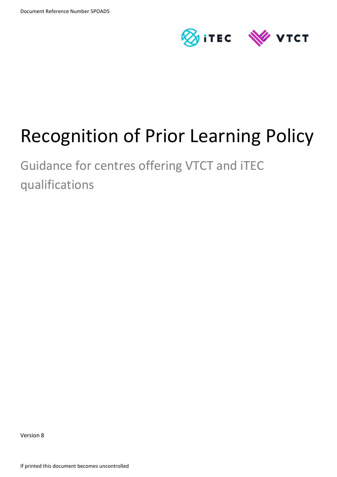

# Recognition of Prior Learning Policy

Guidance for centres offering VTCT and iTEC qualifications

Version 8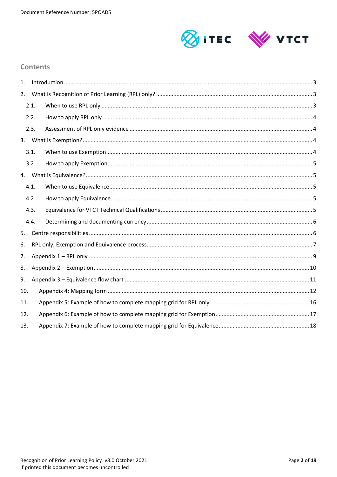

### **Contents**

| $\mathbf{1}$ . |      |  |  |  |  |  |
|----------------|------|--|--|--|--|--|
| 2.             |      |  |  |  |  |  |
|                | 2.1. |  |  |  |  |  |
|                | 2.2. |  |  |  |  |  |
|                | 2.3. |  |  |  |  |  |
|                |      |  |  |  |  |  |
|                | 3.1. |  |  |  |  |  |
|                | 3.2. |  |  |  |  |  |
|                |      |  |  |  |  |  |
|                | 4.1. |  |  |  |  |  |
|                | 4.2. |  |  |  |  |  |
|                | 4.3. |  |  |  |  |  |
|                | 4.4. |  |  |  |  |  |
| 5.             |      |  |  |  |  |  |
| 6.             |      |  |  |  |  |  |
| 7.             |      |  |  |  |  |  |
| 8.             |      |  |  |  |  |  |
| 9.             |      |  |  |  |  |  |
| 10.            |      |  |  |  |  |  |
| 11.            |      |  |  |  |  |  |
| 12.            |      |  |  |  |  |  |
| 13.            |      |  |  |  |  |  |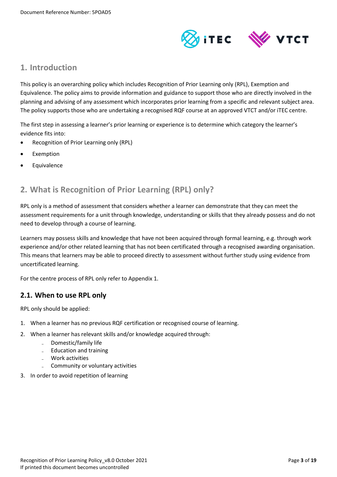

### <span id="page-2-0"></span>**1. Introduction**

This policy is an overarching policy which includes Recognition of Prior Learning only (RPL), Exemption and Equivalence. The policy aims to provide information and guidance to support those who are directly involved in the planning and advising of any assessment which incorporates prior learning from a specific and relevant subject area. The policy supports those who are undertaking a recognised RQF course at an approved VTCT and/or iTEC centre.

The first step in assessing a learner's prior learning or experience is to determine which category the learner's evidence fits into:

- Recognition of Prior Learning only (RPL)
- Exemption
- <span id="page-2-1"></span>Equivalence

### **2. What is Recognition of Prior Learning (RPL) only?**

RPL only is a method of assessment that considers whether a learner can demonstrate that they can meet the assessment requirements for a unit through knowledge, understanding or skills that they already possess and do not need to develop through a course of learning.

Learners may possess skills and knowledge that have not been acquired through formal learning, e.g. through work experience and/or other related learning that has not been certificated through a recognised awarding organisation. This means that learners may be able to proceed directly to assessment without further study using evidence from uncertificated learning.

For the centre process of RPL only refer to Appendix 1.

### <span id="page-2-2"></span>**2.1. When to use RPL only**

RPL only should be applied:

- 1. When a learner has no previous RQF certification or recognised course of learning.
- 2. When a learner has relevant skills and/or knowledge acquired through:
	- Domestic/family life
	- Education and training
	- Work activities
	- Community or voluntary activities
- 3. In order to avoid repetition of learning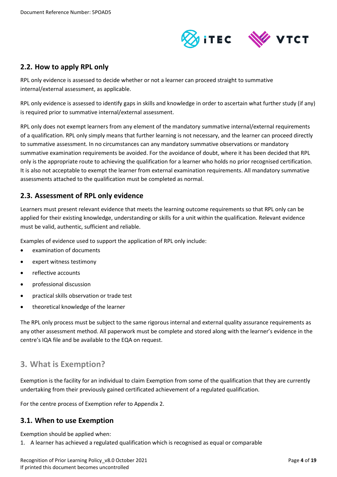

### <span id="page-3-0"></span>**2.2. How to apply RPL only**

RPL only evidence is assessed to decide whether or not a learner can proceed straight to summative internal/external assessment, as applicable.

RPL only evidence is assessed to identify gaps in skills and knowledge in order to ascertain what further study (if any) is required prior to summative internal/external assessment.

RPL only does not exempt learners from any element of the mandatory summative internal/external requirements of a qualification. RPL only simply means that further learning is not necessary, and the learner can proceed directly to summative assessment. In no circumstances can any mandatory summative observations or mandatory summative examination requirements be avoided. For the avoidance of doubt, where it has been decided that RPL only is the appropriate route to achieving the qualification for a learner who holds no prior recognised certification. It is also not acceptable to exempt the learner from external examination requirements. All mandatory summative assessments attached to the qualification must be completed as normal.

### <span id="page-3-1"></span>**2.3. Assessment of RPL only evidence**

Learners must present relevant evidence that meets the learning outcome requirements so that RPL only can be applied for their existing knowledge, understanding or skills for a unit within the qualification. Relevant evidence must be valid, authentic, sufficient and reliable.

Examples of evidence used to support the application of RPL only include:

- examination of documents
- expert witness testimony
- reflective accounts
- professional discussion
- practical skills observation or trade test
- theoretical knowledge of the learner

The RPL only process must be subject to the same rigorous internal and external quality assurance requirements as any other assessment method. All paperwork must be complete and stored along with the learner's evidence in the centre's IQA file and be available to the EQA on request.

### <span id="page-3-2"></span>**3. What is Exemption?**

Exemption is the facility for an individual to claim Exemption from some of the qualification that they are currently undertaking from their previously gained certificated achievement of a regulated qualification.

For the centre process of Exemption refer to Appendix 2.

### <span id="page-3-3"></span>**3.1. When to use Exemption**

Exemption should be applied when:

1. A learner has achieved a regulated qualification which is recognised as equal or comparable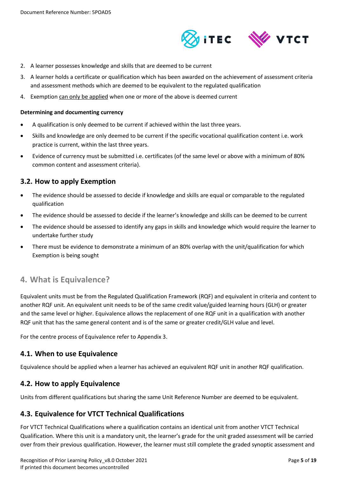

- 2. A learner possesses knowledge and skills that are deemed to be current
- 3. A learner holds a certificate or qualification which has been awarded on the achievement of assessment criteria and assessment methods which are deemed to be equivalent to the regulated qualification
- 4. Exemption can only be applied when one or more of the above is deemed current

#### **Determining and documenting currency**

- A qualification is only deemed to be current if achieved within the last three years.
- Skills and knowledge are only deemed to be current if the specific vocational qualification content i.e. work practice is current, within the last three years.
- Evidence of currency must be submitted i.e. certificates (of the same level or above with a minimum of 80% common content and assessment criteria).

### <span id="page-4-0"></span>**3.2. How to apply Exemption**

- The evidence should be assessed to decide if knowledge and skills are equal or comparable to the regulated qualification
- The evidence should be assessed to decide if the learner's knowledge and skills can be deemed to be current
- The evidence should be assessed to identify any gaps in skills and knowledge which would require the learner to undertake further study
- There must be evidence to demonstrate a minimum of an 80% overlap with the unit/qualification for which Exemption is being sought

### <span id="page-4-1"></span>**4. What is Equivalence?**

Equivalent units must be from the Regulated Qualification Framework (RQF) and equivalent in criteria and content to another RQF unit. An equivalent unit needs to be of the same credit value/guided learning hours (GLH) or greater and the same level or higher. Equivalence allows the replacement of one RQF unit in a qualification with another RQF unit that has the same general content and is of the same or greater credit/GLH value and level.

For the centre process of Equivalence refer to Appendix 3.

### <span id="page-4-2"></span>**4.1. When to use Equivalence**

Equivalence should be applied when a learner has achieved an equivalent RQF unit in another RQF qualification.

### <span id="page-4-3"></span>**4.2. How to apply Equivalence**

Units from different qualifications but sharing the same Unit Reference Number are deemed to be equivalent.

### <span id="page-4-4"></span>**4.3. Equivalence for VTCT Technical Qualifications**

For VTCT Technical Qualifications where a qualification contains an identical unit from another VTCT Technical Qualification. Where this unit is a mandatory unit, the learner's grade for the unit graded assessment will be carried over from their previous qualification. However, the learner must still complete the graded synoptic assessment and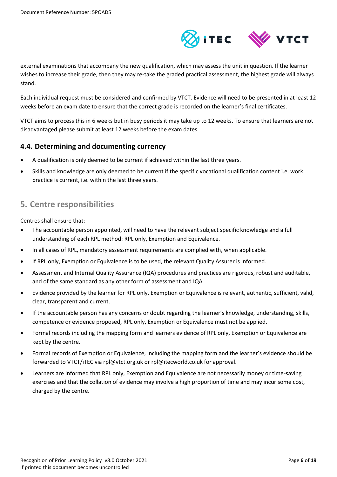

external examinations that accompany the new qualification, which may assess the unit in question. If the learner wishes to increase their grade, then they may re-take the graded practical assessment, the highest grade will always stand.

Each individual request must be considered and confirmed by VTCT. Evidence will need to be presented in at least 12 weeks before an exam date to ensure that the correct grade is recorded on the learner's final certificates.

VTCT aims to process this in 6 weeks but in busy periods it may take up to 12 weeks. To ensure that learners are not disadvantaged please submit at least 12 weeks before the exam dates.

### <span id="page-5-0"></span>**4.4. Determining and documenting currency**

- A qualification is only deemed to be current if achieved within the last three years.
- Skills and knowledge are only deemed to be current if the specific vocational qualification content i.e. work practice is current, i.e. within the last three years.

### <span id="page-5-1"></span>**5. Centre responsibilities**

Centres shall ensure that:

- The accountable person appointed, will need to have the relevant subject specific knowledge and a full understanding of each RPL method: RPL only, Exemption and Equivalence.
- In all cases of RPL, mandatory assessment requirements are complied with, when applicable.
- If RPL only, Exemption or Equivalence is to be used, the relevant Quality Assurer is informed.
- Assessment and Internal Quality Assurance (IQA) procedures and practices are rigorous, robust and auditable, and of the same standard as any other form of assessment and IQA.
- Evidence provided by the learner for RPL only, Exemption or Equivalence is relevant, authentic, sufficient, valid, clear, transparent and current.
- If the accountable person has any concerns or doubt regarding the learner's knowledge, understanding, skills, competence or evidence proposed, RPL only, Exemption or Equivalence must not be applied.
- Formal records including the mapping form and learners evidence of RPL only, Exemption or Equivalence are kept by the centre.
- Formal records of Exemption or Equivalence, including the mapping form and the learner's evidence should be forwarded to VTCT/iTEC via rpl@vtct.org.uk or rpl@itecworld.co.uk for approval.
- Learners are informed that RPL only, Exemption and Equivalence are not necessarily money or time-saving exercises and that the collation of evidence may involve a high proportion of time and may incur some cost, charged by the centre.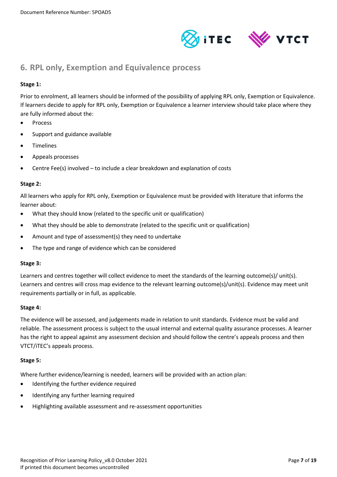



### <span id="page-6-0"></span>**6. RPL only, Exemption and Equivalence process**

### **Stage 1:**

Prior to enrolment, all learners should be informed of the possibility of applying RPL only, Exemption or Equivalence. If learners decide to apply for RPL only, Exemption or Equivalence a learner interview should take place where they are fully informed about the:

- Process
- Support and guidance available
- Timelines
- Appeals processes
- Centre Fee(s) involved to include a clear breakdown and explanation of costs

#### **Stage 2:**

All learners who apply for RPL only, Exemption or Equivalence must be provided with literature that informs the learner about:

- What they should know (related to the specific unit or qualification)
- What they should be able to demonstrate (related to the specific unit or qualification)
- Amount and type of assessment(s) they need to undertake
- The type and range of evidence which can be considered

#### **Stage 3:**

Learners and centres together will collect evidence to meet the standards of the learning outcome(s)/ unit(s). Learners and centres will cross map evidence to the relevant learning outcome(s)/unit(s). Evidence may meet unit requirements partially or in full, as applicable.

#### **Stage 4:**

The evidence will be assessed, and judgements made in relation to unit standards. Evidence must be valid and reliable. The assessment process is subject to the usual internal and external quality assurance processes. A learner has the right to appeal against any assessment decision and should follow the centre's appeals process and then VTCT/iTEC's appeals process.

#### **Stage 5:**

Where further evidence/learning is needed, learners will be provided with an action plan:

- Identifying the further evidence required
- Identifying any further learning required
- Highlighting available assessment and re-assessment opportunities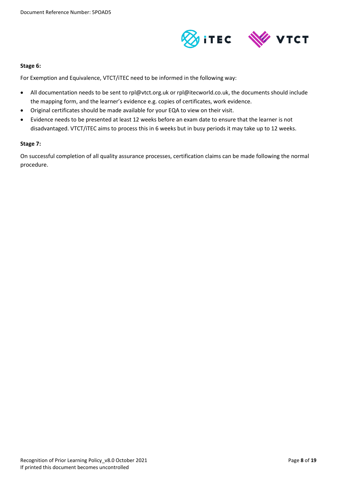

#### **Stage 6:**

For Exemption and Equivalence, VTCT/iTEC need to be informed in the following way:

- All documentation needs to be sent to rpl@vtct.org.uk or rpl@itecworld.co.uk, the documents should include the mapping form, and the learner's evidence e.g. copies of certificates, work evidence.
- Original certificates should be made available for your EQA to view on their visit.
- Evidence needs to be presented at least 12 weeks before an exam date to ensure that the learner is not disadvantaged. VTCT/iTEC aims to process this in 6 weeks but in busy periods it may take up to 12 weeks.

### **Stage 7:**

On successful completion of all quality assurance processes, certification claims can be made following the normal procedure.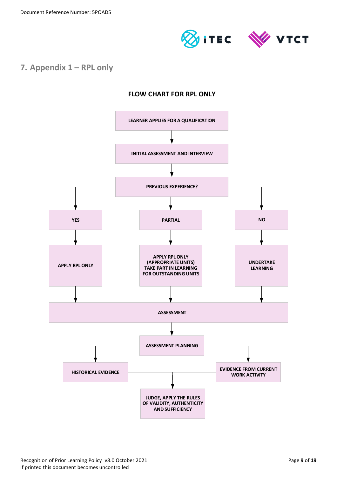

### <span id="page-8-0"></span>**7. Appendix 1 – RPL only**

### **FLOW CHART FOR RPL ONLY**

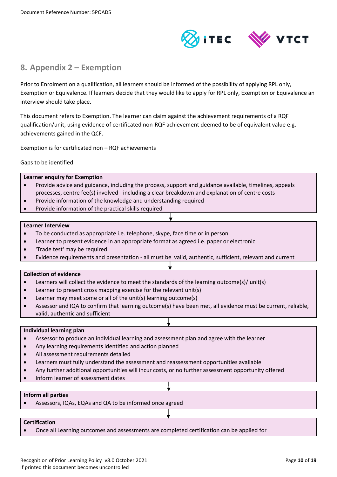

### <span id="page-9-0"></span>**8. Appendix 2 – Exemption**

Prior to Enrolment on a qualification, all learners should be informed of the possibility of applying RPL only, Exemption or Equivalence. If learners decide that they would like to apply for RPL only, Exemption or Equivalence an interview should take place.

This document refers to Exemption. The learner can claim against the achievement requirements of a RQF qualification/unit, using evidence of certificated non-RQF achievement deemed to be of equivalent value e.g. achievements gained in the QCF.

Exemption is for certificated non – RQF achievements

Gaps to be identified

|                          | <b>Learner enguiry for Exemption</b>                                                                   |  |  |  |  |
|--------------------------|--------------------------------------------------------------------------------------------------------|--|--|--|--|
| $\bullet$                | Provide advice and guidance, including the process, support and guidance available, timelines, appeals |  |  |  |  |
|                          | processes, centre fee(s) involved - including a clear breakdown and explanation of centre costs        |  |  |  |  |
| $\bullet$                | Provide information of the knowledge and understanding required                                        |  |  |  |  |
|                          | Provide information of the practical skills required                                                   |  |  |  |  |
|                          |                                                                                                        |  |  |  |  |
| <b>Learner Interview</b> |                                                                                                        |  |  |  |  |
|                          | To be conducted as appropriate i.e. telephone, skype, face time or in person                           |  |  |  |  |

- Learner to present evidence in an appropriate format as agreed i.e. paper or electronic
- 'Trade test' may be required
- Evidence requirements and presentation all must be valid, authentic, sufficient, relevant and current

#### **Collection of evidence**

- Learners will collect the evidence to meet the standards of the learning outcome(s)/ unit(s)
- Learner to present cross mapping exercise for the relevant unit(s)
- Learner may meet some or all of the unit(s) learning outcome(s)
- Assessor and IQA to confirm that learning outcome(s) have been met, all evidence must be current, reliable, valid, authentic and sufficient

#### **Individual learning plan**

- Assessor to produce an individual learning and assessment plan and agree with the learner
- Any learning requirements identified and action planned
- All assessment requirements detailed
- Learners must fully understand the assessment and reassessment opportunities available
- Any further additional opportunities will incur costs, or no further assessment opportunity offered
- Inform learner of assessment dates

#### **Inform all parties**

Assessors, IQAs, EQAs and QA to be informed once agreed

### **Certification**

Once all Learning outcomes and assessments are completed certification can be applied for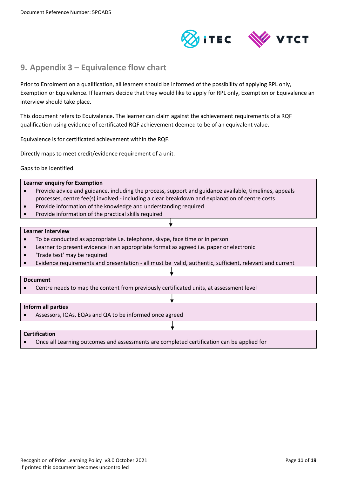

### <span id="page-10-0"></span>**9. Appendix 3 – Equivalence flow chart**

Prior to Enrolment on a qualification, all learners should be informed of the possibility of applying RPL only, Exemption or Equivalence. If learners decide that they would like to apply for RPL only, Exemption or Equivalence an interview should take place.

This document refers to Equivalence. The learner can claim against the achievement requirements of a RQF qualification using evidence of certificated RQF achievement deemed to be of an equivalent value.

Equivalence is for certificated achievement within the RQF.

Directly maps to meet credit/evidence requirement of a unit.

Gaps to be identified.

#### **Learner enquiry for Exemption**

- Provide advice and guidance, including the process, support and guidance available, timelines, appeals processes, centre fee(s) involved - including a clear breakdown and explanation of centre costs
- Provide information of the knowledge and understanding required
- Provide information of the practical skills required

#### **Learner Interview**

- To be conducted as appropriate i.e. telephone, skype, face time or in person
- Learner to present evidence in an appropriate format as agreed i.e. paper or electronic
- 'Trade test' may be required
- Evidence requirements and presentation all must be valid, authentic, sufficient, relevant and current

#### **Document**

Centre needs to map the content from previously certificated units, at assessment level

#### **Inform all parties**

Assessors, IQAs, EQAs and QA to be informed once agreed

#### **Certification**

Once all Learning outcomes and assessments are completed certification can be applied for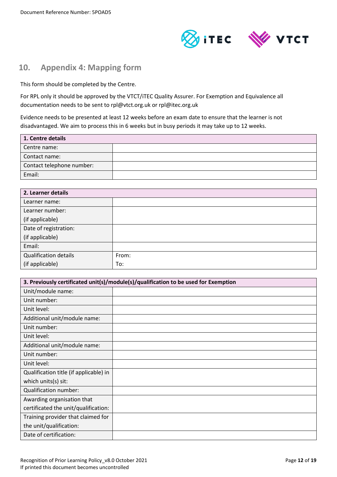

### <span id="page-11-0"></span>**10. Appendix 4: Mapping form**

This form should be completed by the Centre.

For RPL only it should be approved by the VTCT/iTEC Quality Assurer. For Exemption and Equivalence all documentation needs to be sent to rpl@vtct.org.uk or rpl@itec.org.uk

Evidence needs to be presented at least 12 weeks before an exam date to ensure that the learner is not disadvantaged. We aim to process this in 6 weeks but in busy periods it may take up to 12 weeks.

| 1. Centre details         |  |  |
|---------------------------|--|--|
| Centre name:              |  |  |
| Contact name:             |  |  |
| Contact telephone number: |  |  |
| Email:                    |  |  |

| 2. Learner details    |       |  |  |
|-----------------------|-------|--|--|
| Learner name:         |       |  |  |
| Learner number:       |       |  |  |
| (if applicable)       |       |  |  |
| Date of registration: |       |  |  |
| (if applicable)       |       |  |  |
| Email:                |       |  |  |
| Qualification details | From: |  |  |
| (if applicable)       | To:   |  |  |

| 3. Previously certificated unit(s)/module(s)/qualification to be used for Exemption |  |  |  |
|-------------------------------------------------------------------------------------|--|--|--|
| Unit/module name:                                                                   |  |  |  |
| Unit number:                                                                        |  |  |  |
| Unit level:                                                                         |  |  |  |
| Additional unit/module name:                                                        |  |  |  |
| Unit number:                                                                        |  |  |  |
| Unit level:                                                                         |  |  |  |
| Additional unit/module name:                                                        |  |  |  |
| Unit number:                                                                        |  |  |  |
| Unit level:                                                                         |  |  |  |
| Qualification title (if applicable) in                                              |  |  |  |
| which units(s) sit:                                                                 |  |  |  |
| Qualification number:                                                               |  |  |  |
| Awarding organisation that                                                          |  |  |  |
| certificated the unit/qualification:                                                |  |  |  |
| Training provider that claimed for                                                  |  |  |  |
| the unit/qualification:                                                             |  |  |  |
| Date of certification:                                                              |  |  |  |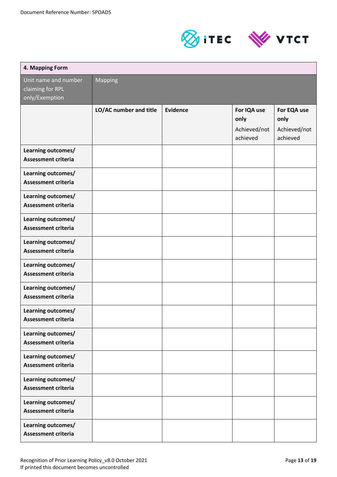



| 4. Mapping Form                                            |                        |                 |                                                 |                                                 |
|------------------------------------------------------------|------------------------|-----------------|-------------------------------------------------|-------------------------------------------------|
| Unit name and number<br>claiming for RPL<br>only/Exemption | <b>Mapping</b>         |                 |                                                 |                                                 |
|                                                            | LO/AC number and title | <b>Evidence</b> | For IQA use<br>only<br>Achieved/not<br>achieved | For EQA use<br>only<br>Achieved/not<br>achieved |
| Learning outcomes/<br><b>Assessment criteria</b>           |                        |                 |                                                 |                                                 |
| Learning outcomes/<br><b>Assessment criteria</b>           |                        |                 |                                                 |                                                 |
| Learning outcomes/<br><b>Assessment criteria</b>           |                        |                 |                                                 |                                                 |
| Learning outcomes/<br><b>Assessment criteria</b>           |                        |                 |                                                 |                                                 |
| Learning outcomes/<br><b>Assessment criteria</b>           |                        |                 |                                                 |                                                 |
| Learning outcomes/<br><b>Assessment criteria</b>           |                        |                 |                                                 |                                                 |
| Learning outcomes/<br><b>Assessment criteria</b>           |                        |                 |                                                 |                                                 |
| Learning outcomes/<br><b>Assessment criteria</b>           |                        |                 |                                                 |                                                 |
| Learning outcomes/<br><b>Assessment criteria</b>           |                        |                 |                                                 |                                                 |
| Learning outcomes/<br><b>Assessment criteria</b>           |                        |                 |                                                 |                                                 |
| Learning outcomes/<br><b>Assessment criteria</b>           |                        |                 |                                                 |                                                 |
| Learning outcomes/<br><b>Assessment criteria</b>           |                        |                 |                                                 |                                                 |
| Learning outcomes/<br><b>Assessment criteria</b>           |                        |                 |                                                 |                                                 |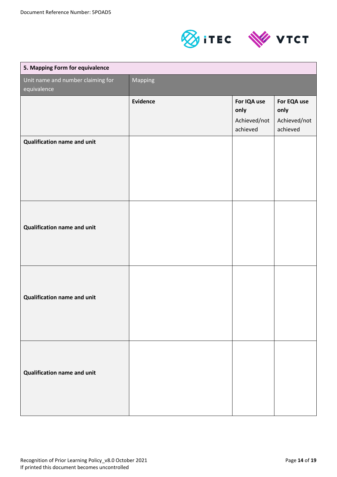



| 5. Mapping Form for equivalence                  |                 |                                                 |                                                 |
|--------------------------------------------------|-----------------|-------------------------------------------------|-------------------------------------------------|
| Unit name and number claiming for<br>equivalence | Mapping         |                                                 |                                                 |
|                                                  | <b>Evidence</b> | For IQA use<br>only<br>Achieved/not<br>achieved | For EQA use<br>only<br>Achieved/not<br>achieved |
| <b>Qualification name and unit</b>               |                 |                                                 |                                                 |
| Qualification name and unit                      |                 |                                                 |                                                 |
| <b>Qualification name and unit</b>               |                 |                                                 |                                                 |
| <b>Qualification name and unit</b>               |                 |                                                 |                                                 |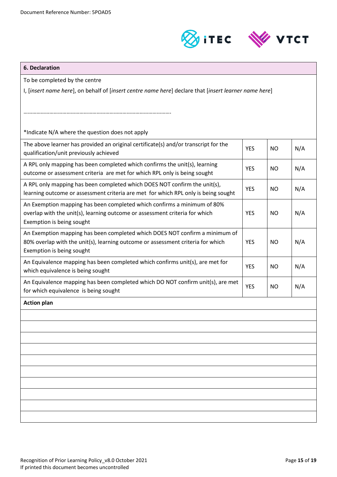



## **6. Declaration** To be completed by the centre I, [*insert name here*], on behalf of [*insert centre name here*] declare that [*insert learner name here*] …………………………………………………………………………………………. \*Indicate N/A where the question does not apply The above learner has provided an original certificate(s) and/or transcript for the qualification/unit previously achieved A RPL only mapping has been completed which confirms the unit(s), learning outcome or assessment criteria are met for which RPL only is being sought YES NO N/A A RPL only mapping has been completed which DOES NOT confirm the unit(s), learning outcome or assessment criteria are met for which RPL only is being sought YES | NO | N/A An Exemption mapping has been completed which confirms a minimum of 80% overlap with the unit(s), learning outcome or assessment criteria for which Exemption is being sought YES NO N/A An Exemption mapping has been completed which DOES NOT confirm a minimum of 80% overlap with the unit(s), learning outcome or assessment criteria for which Exemption is being sought YES | NO | N/A An Equivalence mapping has been completed which confirms unit(s), are met for which equivalence is being sought  $YES$   $NO$   $N/A$ An Equivalence mapping has been completed which DO NOT confirm unit(s), are met for which equivalence is being sought YES NO N/A **Action plan**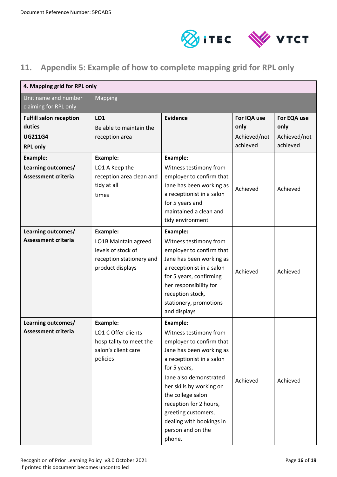

### <span id="page-15-0"></span>**11. Appendix 5: Example of how to complete mapping grid for RPL only**

| 4. Mapping grid for RPL only                                                  |                                                                                                               |                                                                                                                                                                                                                                                                                                                                       |                                                 |                                                 |
|-------------------------------------------------------------------------------|---------------------------------------------------------------------------------------------------------------|---------------------------------------------------------------------------------------------------------------------------------------------------------------------------------------------------------------------------------------------------------------------------------------------------------------------------------------|-------------------------------------------------|-------------------------------------------------|
| Unit name and number<br>claiming for RPL only                                 | <b>Mapping</b>                                                                                                |                                                                                                                                                                                                                                                                                                                                       |                                                 |                                                 |
| <b>Fulfill salon reception</b><br>duties<br><b>UG211G4</b><br><b>RPL only</b> | LO1<br>Be able to maintain the<br>reception area                                                              | Evidence                                                                                                                                                                                                                                                                                                                              | For IQA use<br>only<br>Achieved/not<br>achieved | For EQA use<br>only<br>Achieved/not<br>achieved |
| <b>Example:</b><br>Learning outcomes/<br><b>Assessment criteria</b>           | <b>Example:</b><br>LO1 A Keep the<br>reception area clean and<br>tidy at all<br>times                         | Example:<br>Witness testimony from<br>employer to confirm that<br>Jane has been working as<br>a receptionist in a salon<br>for 5 years and<br>maintained a clean and<br>tidy environment                                                                                                                                              | Achieved                                        | Achieved                                        |
| Learning outcomes/<br><b>Assessment criteria</b>                              | <b>Example:</b><br>LO1B Maintain agreed<br>levels of stock of<br>reception stationery and<br>product displays | <b>Example:</b><br>Witness testimony from<br>employer to confirm that<br>Jane has been working as<br>a receptionist in a salon<br>for 5 years, confirming<br>her responsibility for<br>reception stock,<br>stationery, promotions<br>and displays                                                                                     | Achieved                                        | Achieved                                        |
| Learning outcomes/<br><b>Assessment criteria</b>                              | <b>Example:</b><br>LO1 C Offer clients<br>hospitality to meet the<br>salon's client care<br>policies          | <b>Example:</b><br>Witness testimony from<br>employer to confirm that<br>Jane has been working as<br>a receptionist in a salon<br>for 5 years,<br>Jane also demonstrated<br>her skills by working on<br>the college salon<br>reception for 2 hours,<br>greeting customers,<br>dealing with bookings in<br>person and on the<br>phone. | Achieved                                        | Achieved                                        |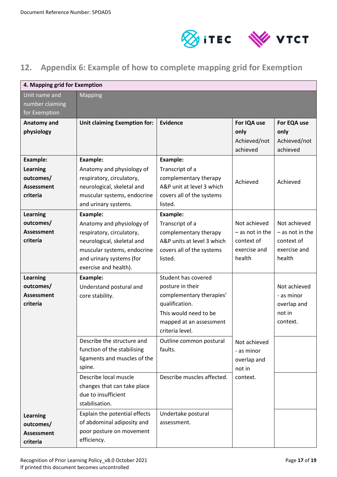

### <span id="page-16-0"></span>**12. Appendix 6: Example of how to complete mapping grid for Exemption**

| 4. Mapping grid for Exemption                                                    |                                                                                                                                                                                             |                                                                                                                                                              |                                                                           |                                                                           |  |
|----------------------------------------------------------------------------------|---------------------------------------------------------------------------------------------------------------------------------------------------------------------------------------------|--------------------------------------------------------------------------------------------------------------------------------------------------------------|---------------------------------------------------------------------------|---------------------------------------------------------------------------|--|
| Unit name and<br>number claiming<br>for Exemption                                | <b>Mapping</b>                                                                                                                                                                              |                                                                                                                                                              |                                                                           |                                                                           |  |
| Anatomy and<br>physiology                                                        | <b>Unit claiming Exemption for:</b>                                                                                                                                                         | <b>Evidence</b>                                                                                                                                              | For IQA use<br>only<br>Achieved/not<br>achieved                           | For EQA use<br>only<br>Achieved/not<br>achieved                           |  |
| <b>Example:</b><br><b>Learning</b><br>outcomes/<br><b>Assessment</b><br>criteria | <b>Example:</b><br>Anatomy and physiology of<br>respiratory, circulatory,<br>neurological, skeletal and<br>muscular systems, endocrine<br>and urinary systems.                              | <b>Example:</b><br>Transcript of a<br>complementary therapy<br>A&P unit at level 3 which<br>covers all of the systems<br>listed.                             | Achieved                                                                  | Achieved                                                                  |  |
| <b>Learning</b><br>outcomes/<br><b>Assessment</b><br>criteria                    | <b>Example:</b><br>Anatomy and physiology of<br>respiratory, circulatory,<br>neurological, skeletal and<br>muscular systems, endocrine<br>and urinary systems (for<br>exercise and health). | <b>Example:</b><br>Transcript of a<br>complementary therapy<br>A&P units at level 3 which<br>covers all of the systems<br>listed.                            | Not achieved<br>$-$ as not in the<br>context of<br>exercise and<br>health | Not achieved<br>$-$ as not in the<br>context of<br>exercise and<br>health |  |
| <b>Learning</b><br>outcomes/<br><b>Assessment</b><br>criteria                    | Example:<br>Understand postural and<br>core stability.                                                                                                                                      | Student has covered<br>posture in their<br>complementary therapies'<br>qualification.<br>This would need to be<br>mapped at an assessment<br>criteria level. |                                                                           | Not achieved<br>- as minor<br>overlap and<br>not in<br>context.           |  |
|                                                                                  | Describe the structure and<br>function of the stabilising<br>ligaments and muscles of the<br>spine.                                                                                         | Outline common postural<br>faults.                                                                                                                           | Not achieved<br>- as minor<br>overlap and<br>not in                       |                                                                           |  |
|                                                                                  | Describe local muscle<br>changes that can take place<br>due to insufficient<br>stabilisation.                                                                                               | Describe muscles affected.                                                                                                                                   | context.                                                                  |                                                                           |  |
| <b>Learning</b><br>outcomes/<br><b>Assessment</b><br>criteria                    | Explain the potential effects<br>of abdominal adiposity and<br>poor posture on movement<br>efficiency.                                                                                      | Undertake postural<br>assessment.                                                                                                                            |                                                                           |                                                                           |  |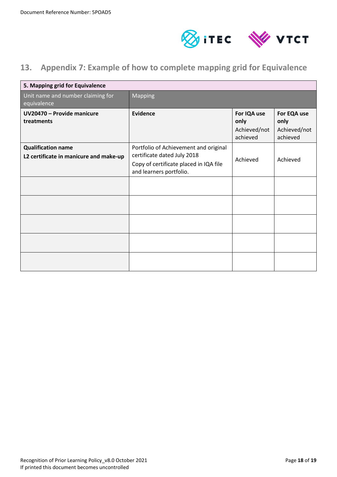

### <span id="page-17-0"></span>**13. Appendix 7: Example of how to complete mapping grid for Equivalence**

| 5. Mapping grid for Equivalence                                     |                                                                                                                                           |                                                 |                                                 |
|---------------------------------------------------------------------|-------------------------------------------------------------------------------------------------------------------------------------------|-------------------------------------------------|-------------------------------------------------|
| Unit name and number claiming for<br>equivalence                    | Mapping                                                                                                                                   |                                                 |                                                 |
| UV20470 - Provide manicure<br>treatments                            | <b>Evidence</b>                                                                                                                           | For IQA use<br>only<br>Achieved/not<br>achieved | For EQA use<br>only<br>Achieved/not<br>achieved |
| <b>Qualification name</b><br>L2 certificate in manicure and make-up | Portfolio of Achievement and original<br>certificate dated July 2018<br>Copy of certificate placed in IQA file<br>and learners portfolio. | Achieved                                        | Achieved                                        |
|                                                                     |                                                                                                                                           |                                                 |                                                 |
|                                                                     |                                                                                                                                           |                                                 |                                                 |
|                                                                     |                                                                                                                                           |                                                 |                                                 |
|                                                                     |                                                                                                                                           |                                                 |                                                 |
|                                                                     |                                                                                                                                           |                                                 |                                                 |